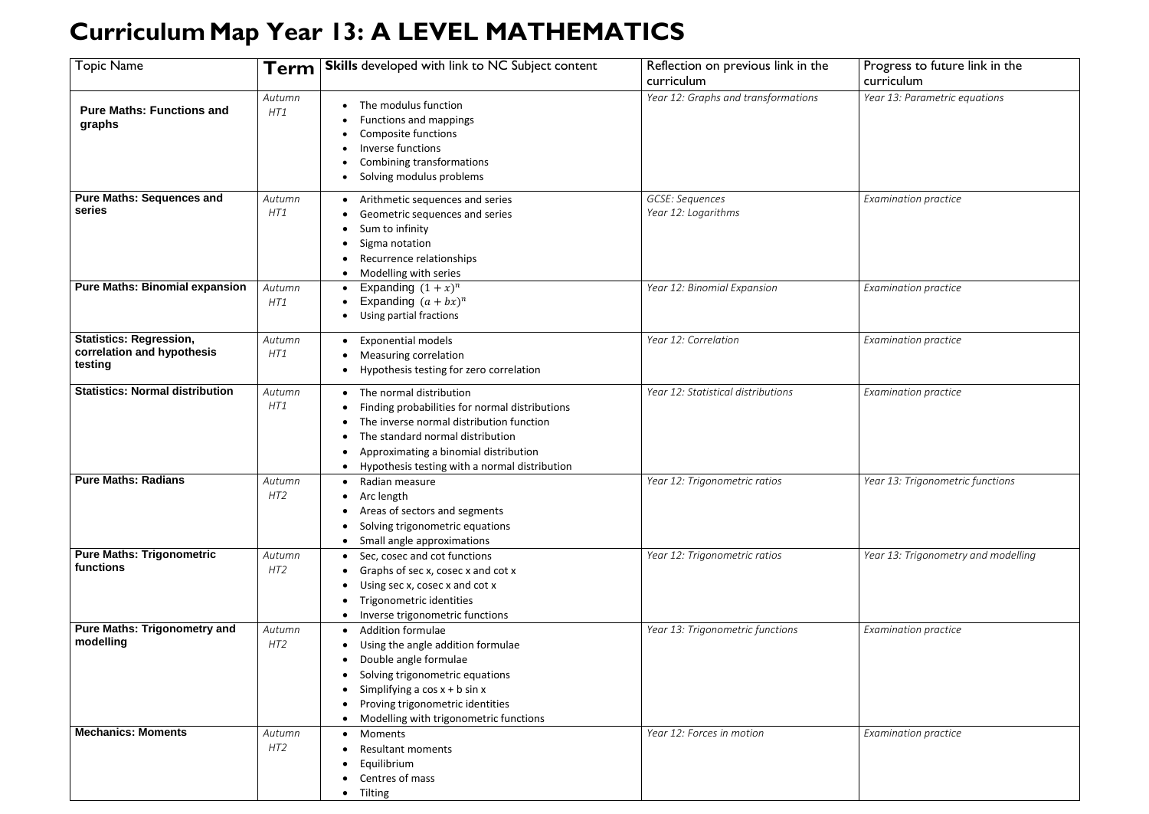## **CurriculumMap Year 13: A LEVEL MATHEMATICS**

| Progress to future link in the<br>curriculum |  |  |  |  |  |
|----------------------------------------------|--|--|--|--|--|
| Year 13: Parametric equations                |  |  |  |  |  |
|                                              |  |  |  |  |  |
|                                              |  |  |  |  |  |
| Examination practice                         |  |  |  |  |  |
|                                              |  |  |  |  |  |
|                                              |  |  |  |  |  |
| Examination practice                         |  |  |  |  |  |
| Examination practice                         |  |  |  |  |  |
|                                              |  |  |  |  |  |
| Examination practice                         |  |  |  |  |  |
|                                              |  |  |  |  |  |
| Year 13: Trigonometric functions             |  |  |  |  |  |
|                                              |  |  |  |  |  |
|                                              |  |  |  |  |  |
| Year 13: Trigonometry and modelling          |  |  |  |  |  |
|                                              |  |  |  |  |  |
| Examination practice                         |  |  |  |  |  |
|                                              |  |  |  |  |  |
|                                              |  |  |  |  |  |
| Examination practice                         |  |  |  |  |  |
|                                              |  |  |  |  |  |

| <b>Topic Name</b>                                                       | <b>Term</b>   | <b>Skills</b> developed with link to NC Subject content                                                                                                                                                                                                                       | Reflection on previous link in the<br>curriculum | Progress to future link in the<br>curriculum |
|-------------------------------------------------------------------------|---------------|-------------------------------------------------------------------------------------------------------------------------------------------------------------------------------------------------------------------------------------------------------------------------------|--------------------------------------------------|----------------------------------------------|
| <b>Pure Maths: Functions and</b><br>graphs                              | Autumn<br>HT1 | The modulus function<br><b>Functions and mappings</b><br><b>Composite functions</b><br>$\bullet$<br><b>Inverse functions</b><br>Combining transformations<br>Solving modulus problems                                                                                         | Year 12: Graphs and transformations              | Year 13: Parametric equations                |
| <b>Pure Maths: Sequences and</b><br>series                              | Autumn<br>HT1 | Arithmetic sequences and series<br>Geometric sequences and series<br>Sum to infinity<br>٠<br>Sigma notation<br>$\bullet$<br>Recurrence relationships<br>Modelling with series                                                                                                 | GCSE: Sequences<br>Year 12: Logarithms           | <b>Examination practice</b>                  |
| <b>Pure Maths: Binomial expansion</b>                                   | Autumn<br>HT1 | Expanding $(1 + x)^n$<br>Expanding $(a + bx)^n$<br>Using partial fractions                                                                                                                                                                                                    | Year 12: Binomial Expansion                      | <b>Examination practice</b>                  |
| <b>Statistics: Regression,</b><br>correlation and hypothesis<br>testing | Autumn<br>HT1 | <b>Exponential models</b><br>$\bullet$<br>Measuring correlation<br>Hypothesis testing for zero correlation                                                                                                                                                                    | Year 12: Correlation                             | <b>Examination practice</b>                  |
| <b>Statistics: Normal distribution</b>                                  | Autumn<br>HT1 | The normal distribution<br>$\bullet$<br>Finding probabilities for normal distributions<br>The inverse normal distribution function<br>The standard normal distribution<br>Approximating a binomial distribution<br>$\bullet$<br>Hypothesis testing with a normal distribution | Year 12: Statistical distributions               | <b>Examination practice</b>                  |
| <b>Pure Maths: Radians</b>                                              | Autumn<br>HT2 | Radian measure<br>$\bullet$<br>Arc length<br>$\bullet$<br>Areas of sectors and segments<br>$\bullet$<br>Solving trigonometric equations<br>$\bullet$<br>Small angle approximations<br>٠                                                                                       | Year 12: Trigonometric ratios                    | Year 13: Trigonometric functions             |
| <b>Pure Maths: Trigonometric</b><br>functions                           | Autumn<br>HT2 | Sec, cosec and cot functions<br>Graphs of sec x, cosec x and cot x<br>٠<br>Using sec x, cosec x and cot x<br>$\bullet$<br>Trigonometric identities<br>Inverse trigonometric functions                                                                                         | Year 12: Trigonometric ratios                    | Year 13: Trigonometry and modelling          |
| <b>Pure Maths: Trigonometry and</b><br>modelling                        | Autumn<br>HT2 | <b>Addition formulae</b><br>$\bullet$<br>Using the angle addition formulae<br>Double angle formulae<br>$\bullet$<br>Solving trigonometric equations<br>Simplifying a $cos x + b sin x$<br>٠<br>Proving trigonometric identities<br>Modelling with trigonometric functions     | Year 13: Trigonometric functions                 | <b>Examination practice</b>                  |
| <b>Mechanics: Moments</b>                                               | Autumn<br>HT2 | Moments<br>$\bullet$<br><b>Resultant moments</b><br>Equilibrium<br>Centres of mass<br>Tilting<br>$\bullet$                                                                                                                                                                    | Year 12: Forces in motion                        | <b>Examination practice</b>                  |